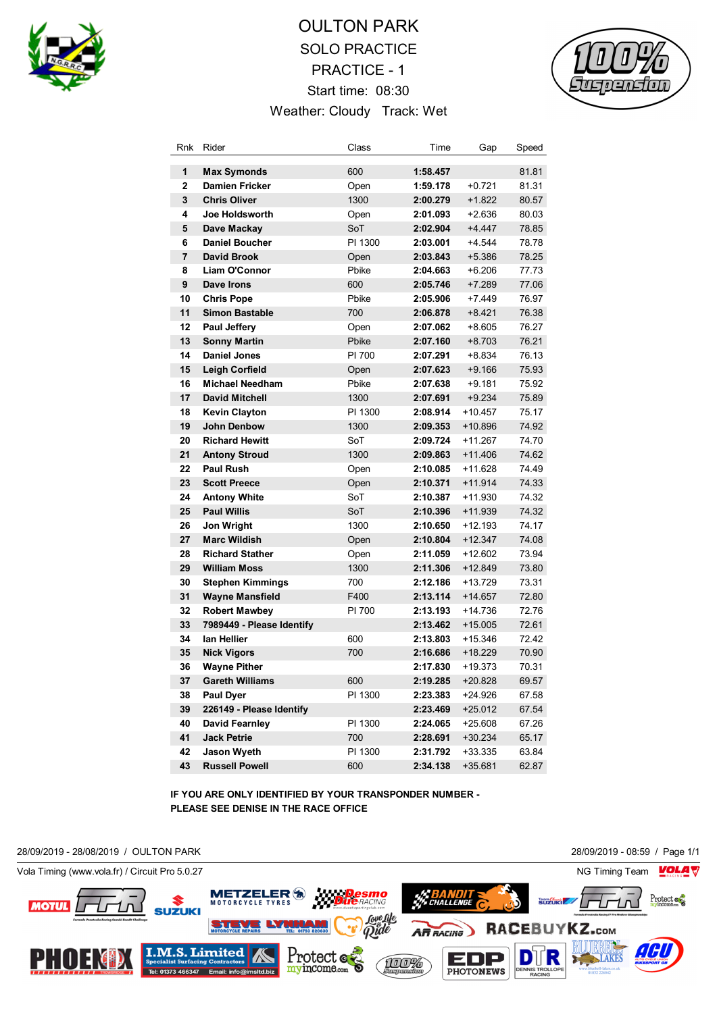

## OULTON PARK SOLO PRACTICE PRACTICE - 1 Start time: 08:30 Weather: Cloudy Track: Wet



| Rnk            | Rider                     | Class   | Time     | Gap       | Speed |
|----------------|---------------------------|---------|----------|-----------|-------|
| 1              | <b>Max Symonds</b>        | 600     | 1:58.457 |           | 81.81 |
| $\overline{2}$ | <b>Damien Fricker</b>     | Open    | 1:59.178 | $+0.721$  | 81.31 |
| 3              | <b>Chris Oliver</b>       | 1300    | 2:00.279 | $+1.822$  | 80.57 |
| 4              | Joe Holdsworth            | Open    | 2:01.093 | +2.636    | 80.03 |
| 5              | Dave Mackay               | SoT     | 2:02.904 | +4.447    | 78.85 |
| 6              | <b>Daniel Boucher</b>     | PI 1300 | 2:03.001 | +4.544    | 78.78 |
| 7              | <b>David Brook</b>        | Open    | 2:03.843 | $+5.386$  | 78.25 |
| 8              | Liam O'Connor             | Pbike   | 2:04.663 | $+6.206$  | 77.73 |
| 9              | Dave Irons                | 600     | 2:05.746 | $+7.289$  | 77.06 |
| 10             | <b>Chris Pope</b>         | Pbike   | 2:05.906 | $+7.449$  | 76.97 |
| 11             | <b>Simon Bastable</b>     | 700     | 2:06.878 | $+8.421$  | 76.38 |
| 12             | <b>Paul Jeffery</b>       | Open    | 2:07.062 | +8.605    | 76.27 |
| 13             | <b>Sonny Martin</b>       | Pbike   | 2:07.160 | $+8.703$  | 76.21 |
| 14             | <b>Daniel Jones</b>       | PI 700  | 2:07.291 | +8.834    | 76.13 |
| 15             | <b>Leigh Corfield</b>     | Open    | 2:07.623 | $+9.166$  | 75.93 |
| 16             | <b>Michael Needham</b>    | Pbike   | 2:07.638 | $+9.181$  | 75.92 |
| 17             | <b>David Mitchell</b>     | 1300    | 2:07.691 | $+9.234$  | 75.89 |
| 18             | <b>Kevin Clayton</b>      | PI 1300 | 2:08.914 | $+10.457$ | 75.17 |
| 19             | <b>John Denbow</b>        | 1300    | 2:09.353 | +10.896   | 74.92 |
| 20             | <b>Richard Hewitt</b>     | SoT     | 2:09.724 | +11.267   | 74.70 |
| 21             | <b>Antony Stroud</b>      | 1300    | 2:09.863 | $+11.406$ | 74.62 |
| 22             | Paul Rush                 | Open    | 2:10.085 | $+11.628$ | 74.49 |
| 23             | <b>Scott Preece</b>       | Open    | 2:10.371 | $+11.914$ | 74.33 |
| 24             | <b>Antony White</b>       | SoT     | 2:10.387 | +11.930   | 74.32 |
| 25             | <b>Paul Willis</b>        | SoT     | 2:10.396 | +11.939   | 74.32 |
| 26             | Jon Wright                | 1300    | 2:10.650 | +12.193   | 74.17 |
| 27             | <b>Marc Wildish</b>       | Open    | 2:10.804 | $+12.347$ | 74.08 |
| 28             | <b>Richard Stather</b>    | Open    | 2:11.059 | +12.602   | 73.94 |
| 29             | <b>William Moss</b>       | 1300    | 2:11.306 | +12.849   | 73.80 |
| 30             | <b>Stephen Kimmings</b>   | 700     | 2:12.186 | +13.729   | 73.31 |
| 31             | <b>Wayne Mansfield</b>    | F400    | 2:13.114 | $+14.657$ | 72.80 |
| 32             | <b>Robert Mawbey</b>      | PI 700  | 2:13.193 | +14.736   | 72.76 |
| 33             | 7989449 - Please Identify |         | 2:13.462 | +15.005   | 72.61 |
| 34             | lan Hellier               | 600     | 2:13.803 | +15.346   | 72.42 |
| 35             | <b>Nick Vigors</b>        | 700     | 2:16.686 | +18.229   | 70.90 |
| 36             | <b>Wayne Pither</b>       |         | 2:17.830 | +19.373   | 70.31 |
| 37             | Gareth Williams           | 600     | 2:19.285 | +20.828   | 69.57 |
| 38             | Paul Dyer                 | PI 1300 | 2:23.383 | +24.926   | 67.58 |
| 39             | 226149 - Please Identify  |         | 2:23.469 | $+25.012$ | 67.54 |
| 40             | <b>David Fearnley</b>     | PI 1300 | 2:24.065 | +25.608   | 67.26 |
| 41             | <b>Jack Petrie</b>        | 700     | 2:28.691 | $+30.234$ | 65.17 |
| 42             | <b>Jason Wyeth</b>        | PI 1300 | 2:31.792 | +33.335   | 63.84 |
| 43             | <b>Russell Powell</b>     | 600     | 2:34.138 | $+35.681$ | 62.87 |

**IF YOU ARE ONLY IDENTIFIED BY YOUR TRANSPONDER NUMBER - PLEASE SEE DENISE IN THE RACE OFFICE**

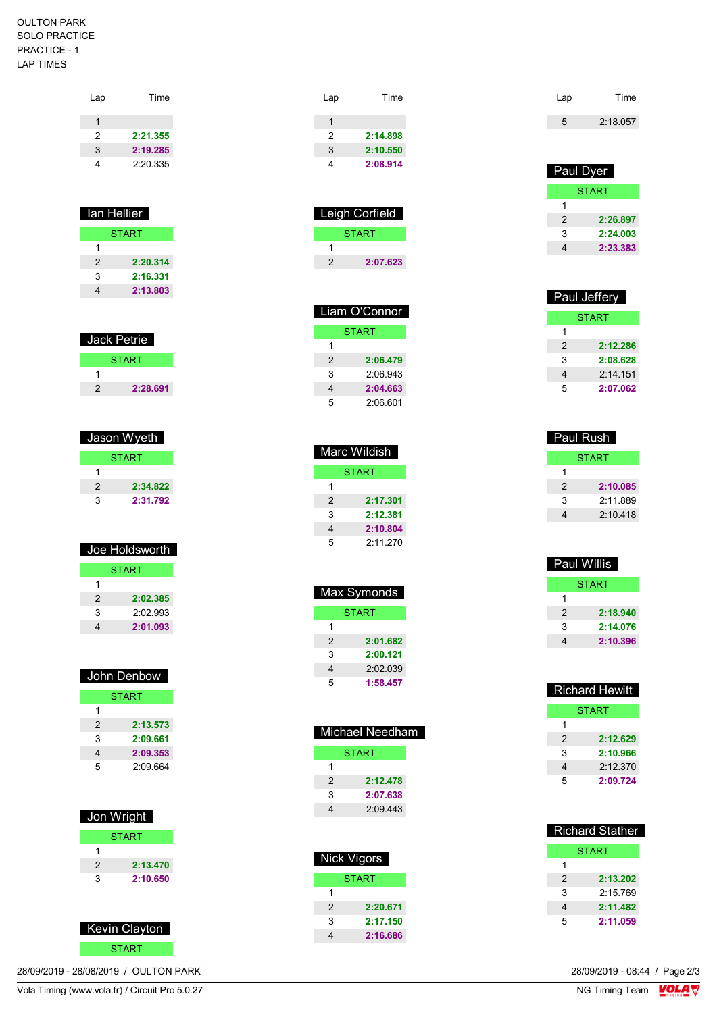## OULTON PARK SOLO PRACTICE PRACTICE - 1 LAP TIMES

| Lap | Time     |
|-----|----------|
|     |          |
| 1   |          |
| 2   | 2:21.355 |
| 3   | 2:19.285 |
| 4   | 2:20.335 |
|     |          |

| lan Hellier   |          |  |
|---------------|----------|--|
| <b>START</b>  |          |  |
| 1             |          |  |
| $\mathcal{P}$ | 2:20.314 |  |
| 3             | 2:16.331 |  |
|               | 2:13.803 |  |

| <b>Jack Petrie</b> |              |  |
|--------------------|--------------|--|
|                    | <b>START</b> |  |
|                    |              |  |
| 2                  | 2:28.691     |  |

| Jason Wyeth  |  |  |
|--------------|--|--|
| <b>START</b> |  |  |
|              |  |  |
| 2:34.822     |  |  |
| 2:31.792     |  |  |
|              |  |  |

| Joe Holdsworth |          |  |
|----------------|----------|--|
| <b>START</b>   |          |  |
| 1              |          |  |
| 2              | 2:02.385 |  |
| 3              | 2.02993  |  |
|                | 2:01.093 |  |

| John Denbow   |          |  |
|---------------|----------|--|
| <b>START</b>  |          |  |
| 1             |          |  |
| $\mathcal{P}$ | 2:13.573 |  |
| 3             | 2:09.661 |  |
| 4             | 2:09.353 |  |
| 5             | 2:09.664 |  |

| Jon Wright |              |  |  |
|------------|--------------|--|--|
|            | <b>START</b> |  |  |
|            |              |  |  |
| 2          | 2:13.470     |  |  |
| 3          | 2:10.650     |  |  |
|            |              |  |  |



28/09/2019 - 28/08/2019 / OULTON PARK

| Time<br>Lap   |  |
|---------------|--|
|               |  |
|               |  |
| 2:14.898<br>2 |  |
| 3<br>2:10.550 |  |
| 2:08.914      |  |

| <b>Leigh Corfield</b> |              |  |
|-----------------------|--------------|--|
|                       | <b>START</b> |  |
|                       |              |  |
| 2                     | 2:07.623     |  |

| Liam O'Connor |          |  |
|---------------|----------|--|
| START         |          |  |
| 1             |          |  |
| $\mathcal{P}$ | 2:06.479 |  |
| 3             | 2.06943  |  |
| 4             | 2:04.663 |  |
| 5             | 2:06.601 |  |

| Marc Wildish  |          |  |
|---------------|----------|--|
| <b>START</b>  |          |  |
| 1             |          |  |
| $\mathcal{P}$ | 2:17.301 |  |
| 3             | 2:12.381 |  |
| 4             | 2:10.804 |  |
| 5             | 2:11.270 |  |

| Max Symonds   |          |
|---------------|----------|
| START         |          |
| 1             |          |
| $\mathcal{P}$ | 2:01.682 |
| 3             | 2:00.121 |
| 4             | 2:02.039 |
| 5             | 1:58.457 |

| Michael Needham |          |
|-----------------|----------|
| <b>START</b>    |          |
| 1               |          |
| 2               | 2:12.478 |
| 3               | 2:07.638 |
| 4               | 2:09.443 |
|                 |          |

| Nick Vigors  |  |
|--------------|--|
| <b>START</b> |  |
|              |  |
| 2:20.671     |  |
| 2:17.150     |  |
| 2:16.686     |  |
|              |  |

| Lap | Time     |
|-----|----------|
|     | 2:18.057 |

| Paul Dyer |              |
|-----------|--------------|
|           | <b>START</b> |
| 1         |              |
| 2         | 2:26.897     |
| 3         | 2:24.003     |
|           | 2:23.383     |

| Paul Jeffery   |            |
|----------------|------------|
| START          |            |
| 1              |            |
| $\mathfrak{p}$ | 2:12.286   |
| 3              | 2:08.628   |
| 4              | $2.14$ 151 |
| 5              | 2:07.062   |

| Paul Rush     |  |
|---------------|--|
| START         |  |
|               |  |
| 2<br>2:10.085 |  |
| 2.11889<br>3  |  |
| 2.10418       |  |

| Paul Willis   |          |
|---------------|----------|
| START         |          |
| 1             |          |
| $\mathcal{P}$ | 2:18.940 |
| 3             | 2:14.076 |
| 4             | 2:10.396 |

| <b>Richard Stather</b> |  |
|------------------------|--|
| START                  |  |
| 1                      |  |
| 2:13.202<br>2          |  |
| 3<br>2:15.769          |  |
| 2:11.482<br>4          |  |
| 5<br>2:11.059          |  |

 $\frac{28}{09}{2019} - 08.44$  / Page 2/3<br>NG Timing Team